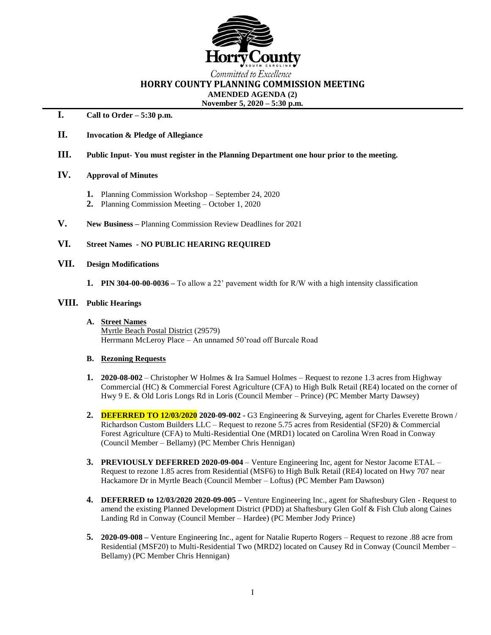

# Committed to Excellence **HORRY COUNTY PLANNING COMMISSION MEETING AMENDED AGENDA (2)**

**November 5, 2020 – 5:30 p.m.**

## **I. Call to Order – 5:30 p.m.**

- **II. Invocation & Pledge of Allegiance**
- **III. Public Input- You must register in the Planning Department one hour prior to the meeting.**
- **IV. Approval of Minutes**
	- **1.** Planning Commission Workshop September 24, 2020
	- **2.** Planning Commission Meeting October 1, 2020
- **V. New Business –** Planning Commission Review Deadlines for 2021

### **VI. Street Names - NO PUBLIC HEARING REQUIRED**

- **VII. Design Modifications**
	- **1. PIN 304-00-00-0036 –** To allow a 22' pavement width for R/W with a high intensity classification

#### **VIII. Public Hearings**

**A. Street Names** Myrtle Beach Postal District (29579) Herrmann McLeroy Place – An unnamed 50'road off Burcale Road

#### **B. Rezoning Requests**

- **1. 2020-08-002** Christopher W Holmes & Ira Samuel Holmes Request to rezone 1.3 acres from Highway Commercial (HC) & Commercial Forest Agriculture (CFA) to High Bulk Retail (RE4) located on the corner of Hwy 9 E. & Old Loris Longs Rd in Loris (Council Member – Prince) (PC Member Marty Dawsey)
- **2. DEFERRED TO 12/03/2020 2020-09-002 -** G3 Engineering & Surveying, agent for Charles Everette Brown / Richardson Custom Builders LLC – Request to rezone 5.75 acres from Residential (SF20) & Commercial Forest Agriculture (CFA) to Multi-Residential One (MRD1) located on Carolina Wren Road in Conway (Council Member – Bellamy) (PC Member Chris Hennigan)
- **3. PREVIOUSLY DEFERRED 2020-09-004** Venture Engineering Inc, agent for Nestor Jacome ETAL Request to rezone 1.85 acres from Residential (MSF6) to High Bulk Retail (RE4) located on Hwy 707 near Hackamore Dr in Myrtle Beach (Council Member – Loftus) (PC Member Pam Dawson)
- **4. DEFERRED to 12/03/2020 2020-09-005 –** Venture Engineering Inc., agent for Shaftesbury Glen Request to amend the existing Planned Development District (PDD) at Shaftesbury Glen Golf & Fish Club along Caines Landing Rd in Conway (Council Member – Hardee) (PC Member Jody Prince)
- **5. 2020-09-008 –** Venture Engineering Inc., agent for Natalie Ruperto Rogers Request to rezone .88 acre from Residential (MSF20) to Multi-Residential Two (MRD2) located on Causey Rd in Conway (Council Member – Bellamy) (PC Member Chris Hennigan)